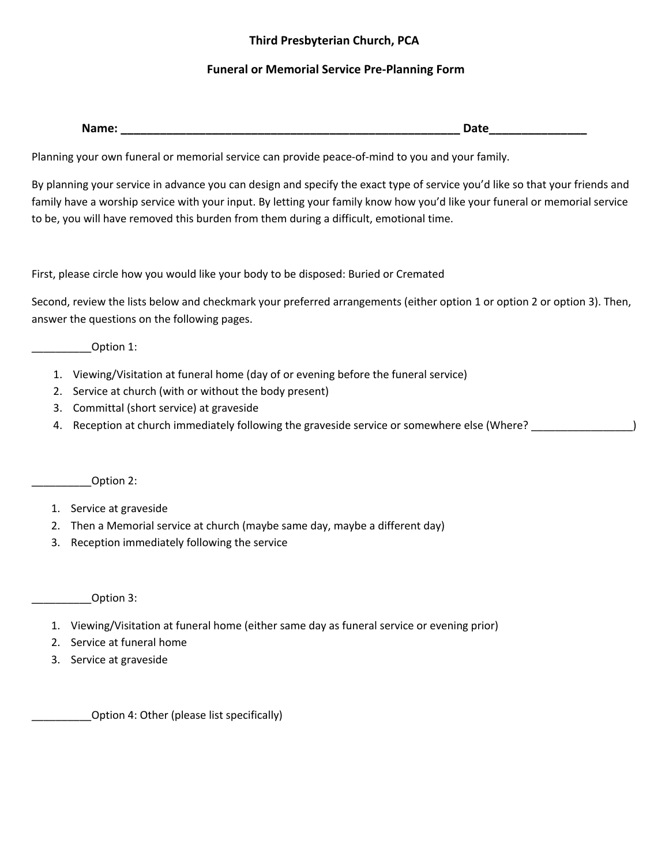## **Third Presbyterian Church, PCA**

## **Funeral or Memorial Service Pre-Planning Form**

| $ -$<br>______ | . .<br>_<br>--<br>$\sim$ |
|----------------|--------------------------|
|                |                          |

Planning your own funeral or memorial service can provide peace-of-mind to you and your family.

By planning your service in advance you can design and specify the exact type of service you'd like so that your friends and family have a worship service with your input. By letting your family know how you'd like your funeral or memorial service to be, you will have removed this burden from them during a difficult, emotional time.

First, please circle how you would like your body to be disposed: Buried or Cremated

Second, review the lists below and checkmark your preferred arrangements (either option 1 or option 2 or option 3). Then, answer the questions on the following pages.

\_\_\_\_\_\_\_\_\_\_Option 1:

- 1. Viewing/Visitation at funeral home (day of or evening before the funeral service)
- 2. Service at church (with or without the body present)
- 3. Committal (short service) at graveside
- 4. Reception at church immediately following the graveside service or somewhere else (Where? \_\_\_\_\_\_\_\_\_\_\_\_\_\_\_\_)

\_\_\_\_\_\_\_\_\_\_Option 2:

- 1. Service at graveside
- 2. Then a Memorial service at church (maybe same day, maybe a different day)
- 3. Reception immediately following the service

\_\_\_\_\_\_\_\_\_\_Option 3:

- 1. Viewing/Visitation at funeral home (either same day as funeral service or evening prior)
- 2. Service at funeral home
- 3. Service at graveside

\_\_\_\_\_\_\_\_\_\_Option 4: Other (please list specifically)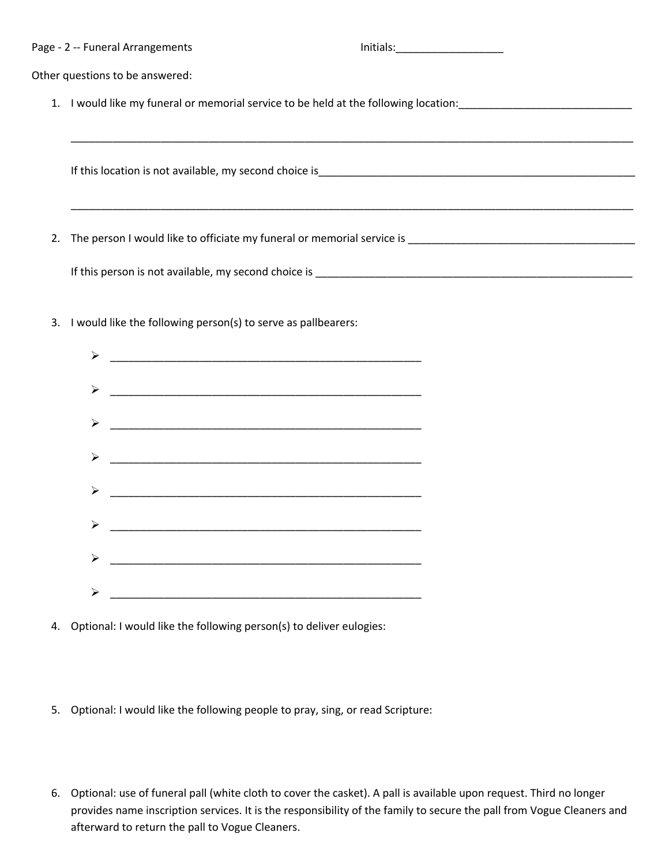|    | Page - 2 -- Funeral Arrangements                                                  | Initials: |  |
|----|-----------------------------------------------------------------------------------|-----------|--|
|    | Other questions to be answered:                                                   |           |  |
| 1. | I would like my funeral or memorial service to be held at the following location: |           |  |
|    |                                                                                   |           |  |
|    | If this location is not available, my second choice is                            |           |  |
|    |                                                                                   |           |  |
| 2. | The person I would like to officiate my funeral or memorial service is            |           |  |
|    | If this person is not available, my second choice is                              |           |  |

3. I would like the following person(s) to serve as pallbearers:



- 4. Optional: I would like the following person(s) to deliver eulogies:
- 5. Optional: I would like the following people to pray, sing, or read Scripture:
- 6. Optional: use of funeral pall (white cloth to cover the casket). A pall is available upon request. Third no longer provides name inscription services. It is the responsibility of the family to secure the pall from Vogue Cleaners and afterward to return the pall to Vogue Cleaners.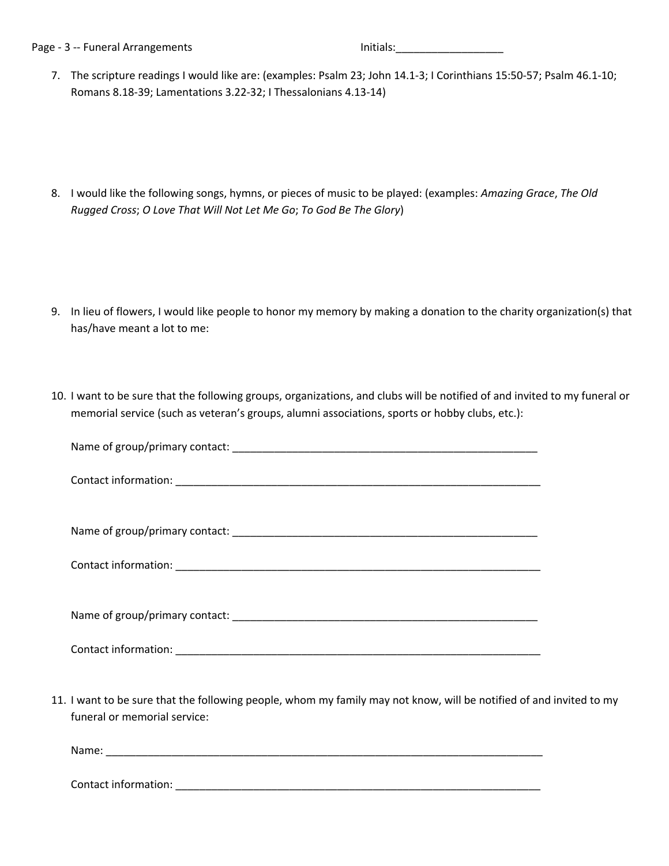Page - 3 -- Funeral Arrangements and Initials: contract and Initials: contract and Initials:

7. The scripture readings I would like are: (examples: Psalm 23; John 14.1-3; I Corinthians 15:50-57; Psalm 46.1-10; Romans 8.18-39; Lamentations 3.22-32; I Thessalonians 4.13-14)

8. I would like the following songs, hymns, or pieces of music to be played: (examples: *Amazing Grace*, *The Old Rugged Cross*; *O Love That Will Not Let Me Go*; *To God Be The Glory*)

- 9. In lieu of flowers, I would like people to honor my memory by making a donation to the charity organization(s) that has/have meant a lot to me:
- 10. I want to be sure that the following groups, organizations, and clubs will be notified of and invited to my funeral or memorial service (such as veteran's groups, alumni associations, sports or hobby clubs, etc.):

| 11. I want to be sure that the following people, whom my family may not know, will be notified of and invited to my<br>funeral or memorial service: |  |
|-----------------------------------------------------------------------------------------------------------------------------------------------------|--|

Name: where  $\overline{a}$ 

Contact information: \_\_\_\_\_\_\_\_\_\_\_\_\_\_\_\_\_\_\_\_\_\_\_\_\_\_\_\_\_\_\_\_\_\_\_\_\_\_\_\_\_\_\_\_\_\_\_\_\_\_\_\_\_\_\_\_\_\_\_\_\_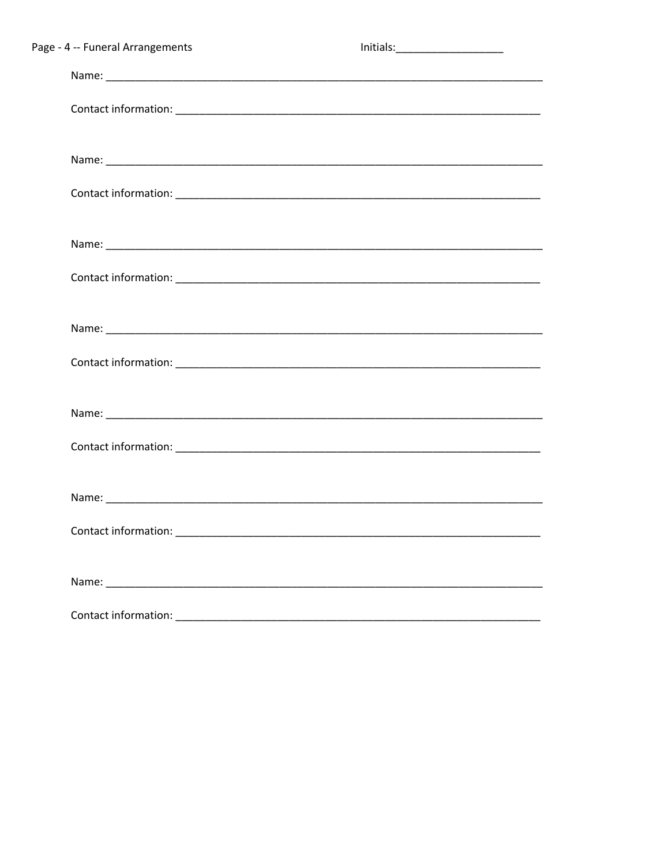| Page - 4 -- Funeral Arrangements |                                                                                                                       |  |
|----------------------------------|-----------------------------------------------------------------------------------------------------------------------|--|
|                                  |                                                                                                                       |  |
|                                  |                                                                                                                       |  |
|                                  |                                                                                                                       |  |
|                                  |                                                                                                                       |  |
|                                  |                                                                                                                       |  |
|                                  |                                                                                                                       |  |
|                                  |                                                                                                                       |  |
|                                  |                                                                                                                       |  |
|                                  |                                                                                                                       |  |
|                                  |                                                                                                                       |  |
|                                  |                                                                                                                       |  |
|                                  |                                                                                                                       |  |
|                                  |                                                                                                                       |  |
| Contact information:             | <u> 1980 - Jan Barbara Barbara, maso a seria da seria de la propia de la propia de la propia de la propia de la p</u> |  |